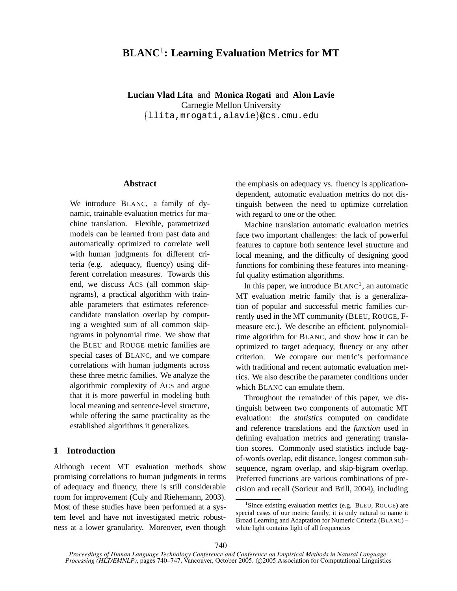# **BLANC**<sup>1</sup> **: Learning Evaluation Metrics for MT**

**Lucian Vlad Lita** and **Monica Rogati** and **Alon Lavie** Carnegie Mellon University {llita,mrogati,alavie}@cs.cmu.edu

### **Abstract**

We introduce BLANC, a family of dynamic, trainable evaluation metrics for machine translation. Flexible, parametrized models can be learned from past data and automatically optimized to correlate well with human judgments for different criteria (e.g. adequacy, fluency) using different correlation measures. Towards this end, we discuss ACS (all common skipngrams), a practical algorithm with trainable parameters that estimates referencecandidate translation overlap by computing a weighted sum of all common skipngrams in polynomial time. We show that the BLEU and ROUGE metric families are special cases of BLANC, and we compare correlations with human judgments across these three metric families. We analyze the algorithmic complexity of ACS and argue that it is more powerful in modeling both local meaning and sentence-level structure, while offering the same practicality as the established algorithms it generalizes.

# **1 Introduction**

Although recent MT evaluation methods show promising correlations to human judgments in terms of adequacy and fluency, there is still considerable room for improvement (Culy and Riehemann, 2003). Most of these studies have been performed at a system level and have not investigated metric robustness at a lower granularity. Moreover, even though the emphasis on adequacy vs. fluency is applicationdependent, automatic evaluation metrics do not distinguish between the need to optimize correlation with regard to one or the other.

Machine translation automatic evaluation metrics face two important challenges: the lack of powerful features to capture both sentence level structure and local meaning, and the difficulty of designing good functions for combining these features into meaningful quality estimation algorithms.

In this paper, we introduce  $BLANC<sup>1</sup>$ , an automatic MT evaluation metric family that is a generalization of popular and successful metric families currently used in the MT community (BLEU, ROUGE, Fmeasure etc.). We describe an efficient, polynomialtime algorithm for BLANC, and show how it can be optimized to target adequacy, fluency or any other criterion. We compare our metric's performance with traditional and recent automatic evaluation metrics. We also describe the parameter conditions under which BLANC can emulate them.

Throughout the remainder of this paper, we distinguish between two components of automatic MT evaluation: the *statistics* computed on candidate and reference translations and the *function* used in defining evaluation metrics and generating translation scores. Commonly used statistics include bagof-words overlap, edit distance, longest common subsequence, ngram overlap, and skip-bigram overlap. Preferred functions are various combinations of precision and recall (Soricut and Brill, 2004), including

<sup>&</sup>lt;sup>1</sup>Since existing evaluation metrics (e.g. BLEU, ROUGE) are special cases of our metric family, it is only natural to name it Broad Learning and Adaptation for Numeric Criteria (BLANC) – white light contains light of all frequencies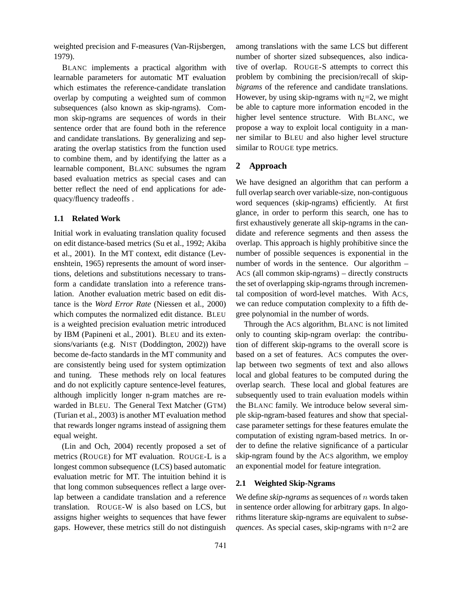weighted precision and F-measures (Van-Rijsbergen, 1979).

BLANC implements a practical algorithm with learnable parameters for automatic MT evaluation which estimates the reference-candidate translation overlap by computing a weighted sum of common subsequences (also known as skip-ngrams). Common skip-ngrams are sequences of words in their sentence order that are found both in the reference and candidate translations. By generalizing and separating the overlap statistics from the function used to combine them, and by identifying the latter as a learnable component, BLANC subsumes the ngram based evaluation metrics as special cases and can better reflect the need of end applications for adequacy/fluency tradeoffs .

### **1.1 Related Work**

Initial work in evaluating translation quality focused on edit distance-based metrics (Su et al., 1992; Akiba et al., 2001). In the MT context, edit distance (Levenshtein, 1965) represents the amount of word insertions, deletions and substitutions necessary to transform a candidate translation into a reference translation. Another evaluation metric based on edit distance is the *Word Error Rate* (Niessen et al., 2000) which computes the normalized edit distance. BLEU is a weighted precision evaluation metric introduced by IBM (Papineni et al., 2001). BLEU and its extensions/variants (e.g. NIST (Doddington, 2002)) have become de-facto standards in the MT community and are consistently being used for system optimization and tuning. These methods rely on local features and do not explicitly capture sentence-level features, although implicitly longer n-gram matches are rewarded in BLEU. The General Text Matcher (GTM) (Turian et al., 2003) is another MT evaluation method that rewards longer ngrams instead of assigning them equal weight.

(Lin and Och, 2004) recently proposed a set of metrics (ROUGE) for MT evaluation. ROUGE-L is a longest common subsequence (LCS) based automatic evaluation metric for MT. The intuition behind it is that long common subsequences reflect a large overlap between a candidate translation and a reference translation. ROUGE-W is also based on LCS, but assigns higher weights to sequences that have fewer gaps. However, these metrics still do not distinguish among translations with the same LCS but different number of shorter sized subsequences, also indicative of overlap. ROUGE-S attempts to correct this problem by combining the precision/recall of skip*bigrams* of the reference and candidate translations. However, by using skip-ngrams with  $n_{\zeta}=2$ , we might be able to capture more information encoded in the higher level sentence structure. With BLANC, we propose a way to exploit local contiguity in a manner similar to BLEU and also higher level structure similar to ROUGE type metrics.

# **2 Approach**

We have designed an algorithm that can perform a full overlap search over variable-size, non-contiguous word sequences (skip-ngrams) efficiently. At first glance, in order to perform this search, one has to first exhaustively generate all skip-ngrams in the candidate and reference segments and then assess the overlap. This approach is highly prohibitive since the number of possible sequences is exponential in the number of words in the sentence. Our algorithm – ACS (all common skip-ngrams) – directly constructs the set of overlapping skip-ngrams through incremental composition of word-level matches. With ACS, we can reduce computation complexity to a fifth degree polynomial in the number of words.

Through the ACS algorithm, BLANC is not limited only to counting skip-ngram overlap: the contribution of different skip-ngrams to the overall score is based on a set of features. ACS computes the overlap between two segments of text and also allows local and global features to be computed during the overlap search. These local and global features are subsequently used to train evaluation models within the BLANC family. We introduce below several simple skip-ngram-based features and show that specialcase parameter settings for these features emulate the computation of existing ngram-based metrics. In order to define the relative significance of a particular skip-ngram found by the ACS algorithm, we employ an exponential model for feature integration.

### **2.1 Weighted Skip-Ngrams**

We define *skip-ngrams* as sequences of n words taken in sentence order allowing for arbitrary gaps. In algorithms literature skip-ngrams are equivalent to *subsequences*. As special cases, skip-ngrams with n=2 are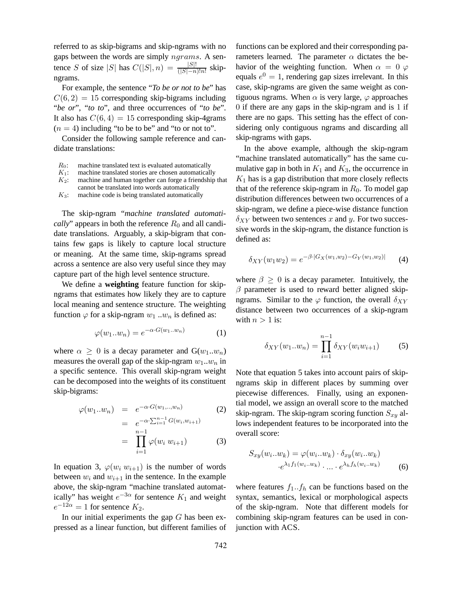referred to as skip-bigrams and skip-ngrams with no gaps between the words are simply ngrams. A sentence S of size |S| has  $C(|S|, n) = \frac{|S|!}{(|S|-n)!n!}$  skipngrams.

For example, the sentence "*To be or not to be*" has  $C(6, 2) = 15$  corresponding skip-bigrams including "*be or*", "*to to*", and three occurrences of "*to be*". It also has  $C(6, 4) = 15$  corresponding skip-4grams  $(n = 4)$  including "to be to be" and "to or not to".

Consider the following sample reference and candidate translations:

- $R_0$ : machine translated text is evaluated automatically
- $K_1$ : machine translated stories are chosen automatically
- $K_2$ : machine and human together can forge a friendship that cannot be translated into words automatically
- $K<sub>3</sub>$ : machine code is being translated automatically

The skip-ngram "*machine translated automatically*" appears in both the reference  $R_0$  and all candidate translations. Arguably, a skip-bigram that contains few gaps is likely to capture local structure or meaning. At the same time, skip-ngrams spread across a sentence are also very useful since they may capture part of the high level sentence structure.

We define a **weighting** feature function for skipngrams that estimates how likely they are to capture local meaning and sentence structure. The weighting function  $\varphi$  for a skip-ngram  $w_1 ... w_n$  is defined as:

$$
\varphi(w_1..w_n) = e^{-\alpha \cdot G(w_1..w_n)} \tag{1}
$$

where  $\alpha \geq 0$  is a decay parameter and  $G(w_1...w_n)$ measures the overall gap of the skip-ngram  $w_1...w_n$  in a specific sentence. This overall skip-ngram weight can be decomposed into the weights of its constituent skip-bigrams:

$$
\varphi(w_1..w_n) = e^{-\alpha \cdot G(w_1,..,w_n)} \tag{2}
$$

$$
= e^{-\alpha \cdot \sum_{i=1}^{n-1} G(w_i, w_{i+1})}
$$

$$
= \prod_{i=1}^{n-1} \varphi(w_i \ w_{i+1})
$$
(3)

In equation 3,  $\varphi(w_i w_{i+1})$  is the number of words between  $w_i$  and  $w_{i+1}$  in the sentence. In the example above, the skip-ngram "machine translated automatically" has weight  $e^{-3\alpha}$  for sentence  $K_1$  and weight  $e^{-12\alpha} = 1$  for sentence  $K_2$ .

In our initial experiments the gap  $G$  has been expressed as a linear function, but different families of functions can be explored and their corresponding parameters learned. The parameter  $\alpha$  dictates the behavior of the weighting function. When  $\alpha = 0$   $\varphi$ equals  $e^0 = 1$ , rendering gap sizes irrelevant. In this case, skip-ngrams are given the same weight as contiguous ngrams. When  $\alpha$  is very large,  $\varphi$  approaches 0 if there are any gaps in the skip-ngram and is 1 if there are no gaps. This setting has the effect of considering only contiguous ngrams and discarding all skip-ngrams with gaps.

In the above example, although the skip-ngram "machine translated automatically" has the same cumulative gap in both in  $K_1$  and  $K_3$ , the occurrence in  $K_1$  has is a gap distribution that more closely reflects that of the reference skip-ngram in  $R_0$ . To model gap distribution differences between two occurrences of a skip-ngram, we define a piece-wise distance function  $\delta_{XY}$  between two sentences x and y. For two successive words in the skip-ngram, the distance function is defined as:

$$
\delta_{XY}(w_1w_2) = e^{-\beta \cdot |G_X(w_1, w_2) - G_Y(w_1, w_2)|} \tag{4}
$$

where  $\beta \geq 0$  is a decay parameter. Intuitively, the  $\beta$  parameter is used to reward better aligned skipngrams. Similar to the  $\varphi$  function, the overall  $\delta_{XY}$ distance between two occurrences of a skip-ngram with  $n > 1$  is:

$$
\delta_{XY}(w_1...w_n) = \prod_{i=1}^{n-1} \delta_{XY}(w_i w_{i+1})
$$
 (5)

Note that equation 5 takes into account pairs of skipngrams skip in different places by summing over piecewise differences. Finally, using an exponential model, we assign an overall score to the matched skip-ngram. The skip-ngram scoring function  $S_{xy}$  allows independent features to be incorporated into the overall score:

$$
S_{xy}(w_i...w_k) = \varphi(w_i...w_k) \cdot \delta_{xy}(w_i...w_k)
$$

$$
\cdot e^{\lambda_1 f_1(w_i...w_k)} \cdot ... \cdot e^{\lambda_h f_h(w_i...w_k)}
$$
(6)

where features  $f_1 \cdot f_h$  can be functions based on the syntax, semantics, lexical or morphological aspects of the skip-ngram. Note that different models for combining skip-ngram features can be used in conjunction with ACS.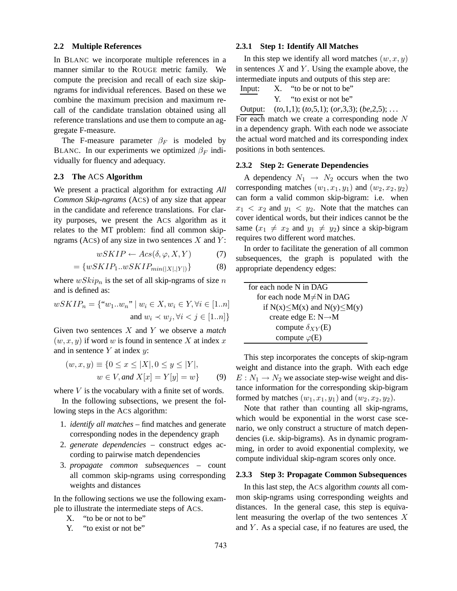#### **2.2 Multiple References**

In BLANC we incorporate multiple references in a manner similar to the ROUGE metric family. We compute the precision and recall of each size skipngrams for individual references. Based on these we combine the maximum precision and maximum recall of the candidate translation obtained using all reference translations and use them to compute an aggregate F-measure.

The F-measure parameter  $\beta_F$  is modeled by BLANC. In our experiments we optimized  $\beta_F$  individually for fluency and adequacy.

### **2.3 The** ACS **Algorithm**

We present a practical algorithm for extracting *All Common Skip-ngrams* (ACS) of any size that appear in the candidate and reference translations. For clarity purposes, we present the ACS algorithm as it relates to the MT problem: find all common skipngrams (ACS) of any size in two sentences  $X$  and  $Y$ :

$$
wSKIP \leftarrow \text{Asc}(\delta, \varphi, X, Y) \tag{7}
$$

$$
= \{ wSKIP_1...wSKIP_{min(|X|,|Y|)} \}
$$
 (8)

where  $wSkip_n$  is the set of all skip-ngrams of size n and is defined as:

$$
wSKIP_n = \{``w_1...w_n" \mid w_i \in X, w_i \in Y, \forall i \in [1..n]
$$
  
and  $w_i \prec w_j, \forall i < j \in [1..n]\}$ 

Given two sentences X and Y we observe a *match*  $(w, x, y)$  if word w is found in sentence X at index x and in sentence  $Y$  at index  $y$ :

$$
(w, x, y) \equiv \{0 \le x \le |X|, 0 \le y \le |Y|, w \in V, and X[x] = Y[y] = w\}
$$
 (9)

where  $V$  is the vocabulary with a finite set of words.

In the following subsections, we present the following steps in the ACS algorithm:

- 1. *identify all matches* find matches and generate corresponding nodes in the dependency graph
- 2. *generate dependencies* construct edges according to pairwise match dependencies
- 3. *propagate common subsequences* count all common skip-ngrams using corresponding weights and distances

In the following sections we use the following example to illustrate the intermediate steps of ACS.

- X. "to be or not to be"
- Y. "to exist or not be"

#### **2.3.1 Step 1: Identify All Matches**

In this step we identify all word matches  $(w, x, y)$ in sentences  $X$  and  $Y$ . Using the example above, the intermediate inputs and outputs of this step are:

Input: X. "to be or not to be" Y. "to exist or not be"

Output: (*to*,1,1); (*to*,5,1); (*or*,3,3); (*be*,2,5); . . . For each match we create a corresponding node N in a dependency graph. With each node we associate the actual word matched and its corresponding index positions in both sentences.

#### **2.3.2 Step 2: Generate Dependencies**

A dependency  $N_1 \rightarrow N_2$  occurs when the two corresponding matches  $(w_1, x_1, y_1)$  and  $(w_2, x_2, y_2)$ can form a valid common skip-bigram: i.e. when  $x_1 < x_2$  and  $y_1 < y_2$ . Note that the matches can cover identical words, but their indices cannot be the same  $(x_1 \neq x_2$  and  $y_1 \neq y_2)$  since a skip-bigram requires two different word matches.

In order to facilitate the generation of all common subsequences, the graph is populated with the appropriate dependency edges:

| for each node N in DAG                   |
|------------------------------------------|
| for each node $M \neq N$ in DAG          |
| if $N(x) \leq M(x)$ and $N(y) \leq M(y)$ |
| create edge E: $N \rightarrow M$         |
| compute $\delta_{XY}$ (E)                |
| compute $\varphi(E)$                     |

This step incorporates the concepts of skip-ngram weight and distance into the graph. With each edge  $E: N_1 \rightarrow N_2$  we associate step-wise weight and distance information for the corresponding skip-bigram formed by matches  $(w_1, x_1, y_1)$  and  $(w_2, x_2, y_2)$ .

Note that rather than counting all skip-ngrams, which would be exponential in the worst case scenario, we only construct a structure of match dependencies (i.e. skip-bigrams). As in dynamic programming, in order to avoid exponential complexity, we compute individual skip-ngram scores only once.

### **2.3.3 Step 3: Propagate Common Subsequences**

In this last step, the ACS algorithm *counts* all common skip-ngrams using corresponding weights and distances. In the general case, this step is equivalent measuring the overlap of the two sentences X and  $Y$ . As a special case, if no features are used, the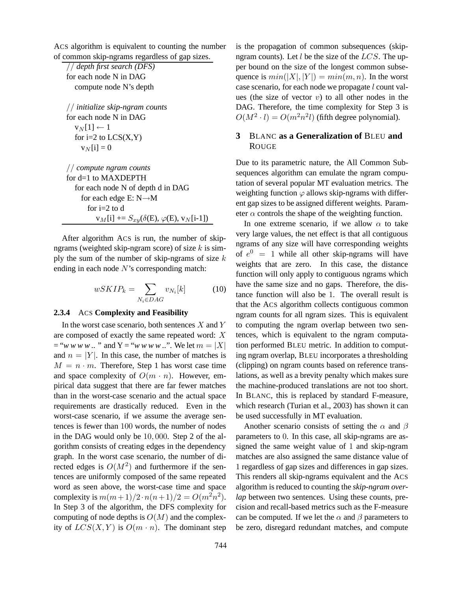ACS algorithm is equivalent to counting the number of common skip-ngrams regardless of gap sizes.

// *depth first search (DFS)* for each node N in DAG compute node N's depth

// *initialize skip-ngram counts* for each node N in DAG  $v_N[1] \leftarrow 1$ for  $i=2$  to  $LCS(X,Y)$  $v_N[i] = 0$ 

// *compute ngram counts* for d=1 to MAXDEPTH for each node N of depth d in DAG for each edge E:  $N \rightarrow M$ for i=2 to d  $v_M[i]$  +=  $S_{xy}(\delta(E), \varphi(E), v_N[i-1])$ 

After algorithm ACS is run, the number of skipngrams (weighted skip-ngram score) of size  $k$  is simply the sum of the number of skip-ngrams of size  $k$ ending in each node  $N$ 's corresponding match:

$$
wSKIP_k = \sum_{N_i \in DAG} v_{N_i}[k] \tag{10}
$$

### **2.3.4** ACS **Complexity and Feasibility**

In the worst case scenario, both sentences  $X$  and  $Y$ are composed of exactly the same repeated word: X  $=$  "*w w w w* .. " and Y = "*w w w w* ..". We let  $m = |X|$ and  $n = |Y|$ . In this case, the number of matches is  $M = n \cdot m$ . Therefore, Step 1 has worst case time and space complexity of  $O(m \cdot n)$ . However, empirical data suggest that there are far fewer matches than in the worst-case scenario and the actual space requirements are drastically reduced. Even in the worst-case scenario, if we assume the average sentences is fewer than 100 words, the number of nodes in the DAG would only be 10, 000. Step 2 of the algorithm consists of creating edges in the dependency graph. In the worst case scenario, the number of directed edges is  $O(M^2)$  and furthermore if the sentences are uniformly composed of the same repeated word as seen above, the worst-case time and space complexity is  $m(m+1)/2 \cdot n(n+1)/2 = O(m^2 n^2)$ . In Step 3 of the algorithm, the DFS complexity for computing of node depths is  $O(M)$  and the complexity of  $LCS(X, Y)$  is  $O(m \cdot n)$ . The dominant step is the propagation of common subsequences (skipngram counts). Let  $l$  be the size of the  $LCS$ . The upper bound on the size of the longest common subsequence is  $min(|X|, |Y|) = min(m, n)$ . In the worst case scenario, for each node we propagate l count values (the size of vector  $v$ ) to all other nodes in the DAG. Therefore, the time complexity for Step 3 is  $O(M^2 \cdot l) = O(m^2n^2l)$  (fifth degree polynomial).

# **3** BLANC **as a Generalization of** BLEU **and** ROUGE

Due to its parametric nature, the All Common Subsequences algorithm can emulate the ngram computation of several popular MT evaluation metrics. The weighting function  $\varphi$  allows skip-ngrams with different gap sizes to be assigned different weights. Parameter  $\alpha$  controls the shape of the weighting function.

In one extreme scenario, if we allow  $\alpha$  to take very large values, the net effect is that all contiguous ngrams of any size will have corresponding weights of  $e^0 = 1$  while all other skip-ngrams will have weights that are zero. In this case, the distance function will only apply to contiguous ngrams which have the same size and no gaps. Therefore, the distance function will also be 1. The overall result is that the ACS algorithm collects contiguous common ngram counts for all ngram sizes. This is equivalent to computing the ngram overlap between two sentences, which is equivalent to the ngram computation performed BLEU metric. In addition to computing ngram overlap, BLEU incorporates a thresholding (clipping) on ngram counts based on reference translations, as well as a brevity penalty which makes sure the machine-produced translations are not too short. In BLANC, this is replaced by standard F-measure, which research (Turian et al., 2003) has shown it can be used successfully in MT evaluation.

Another scenario consists of setting the  $\alpha$  and  $\beta$ parameters to 0. In this case, all skip-ngrams are assigned the same weight value of 1 and skip-ngram matches are also assigned the same distance value of 1 regardless of gap sizes and differences in gap sizes. This renders all skip-ngrams equivalent and the ACS algorithm is reduced to counting the *skip-ngram overlap* between two sentences. Using these counts, precision and recall-based metrics such as the F-measure can be computed. If we let the  $\alpha$  and  $\beta$  parameters to be zero, disregard redundant matches, and compute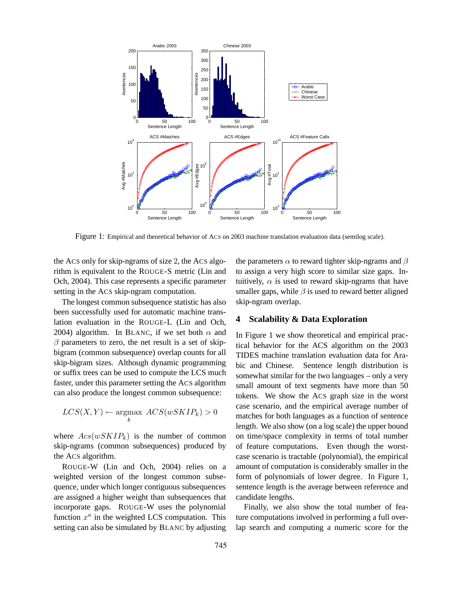

Figure 1: Empirical and theoretical behavior of ACS on 2003 machine translation evaluation data (semilog scale).

the ACS only for skip-ngrams of size 2, the ACS algorithm is equivalent to the ROUGE-S metric (Lin and Och, 2004). This case represents a specific parameter setting in the ACS skip-ngram computation.

The longest common subsequence statistic has also been successfully used for automatic machine translation evaluation in the ROUGE-L (Lin and Och, 2004) algorithm. In BLANC, if we set both  $\alpha$  and  $\beta$  parameters to zero, the net result is a set of skipbigram (common subsequence) overlap counts for all skip-bigram sizes. Although dynamic programming or suffix trees can be used to compute the LCS much faster, under this parameter setting the ACS algorithm can also produce the longest common subsequence:

$$
LCS(X,Y) \leftarrow \underset{k}{\text{argmax}} \ ACS(wSKIP_k) > 0
$$

where  $Acs(wSKIP_k)$  is the number of common skip-ngrams (common subsequences) produced by the ACS algorithm.

ROUGE-W (Lin and Och, 2004) relies on a weighted version of the longest common subsequence, under which longer contiguous subsequences are assigned a higher weight than subsequences that incorporate gaps. ROUGE-W uses the polynomial function  $x^a$  in the weighted LCS computation. This setting can also be simulated by BLANC by adjusting the parameters  $\alpha$  to reward tighter skip-ngrams and  $\beta$ to assign a very high score to similar size gaps. Intuitively,  $\alpha$  is used to reward skip-ngrams that have smaller gaps, while  $\beta$  is used to reward better aligned skip-ngram overlap.

# **4 Scalability & Data Exploration**

In Figure 1 we show theoretical and empirical practical behavior for the ACS algorithm on the 2003 TIDES machine translation evaluation data for Arabic and Chinese. Sentence length distribution is somewhat similar for the two languages – only a very small amount of text segments have more than 50 tokens. We show the ACS graph size in the worst case scenario, and the empirical average number of matches for both languages as a function of sentence length. We also show (on a log scale) the upper bound on time/space complexity in terms of total number of feature computations. Even though the worstcase scenario is tractable (polynomial), the empirical amount of computation is considerably smaller in the form of polynomials of lower degree. In Figure 1, sentence length is the average between reference and candidate lengths.

Finally, we also show the total number of feature computations involved in performing a full overlap search and computing a numeric score for the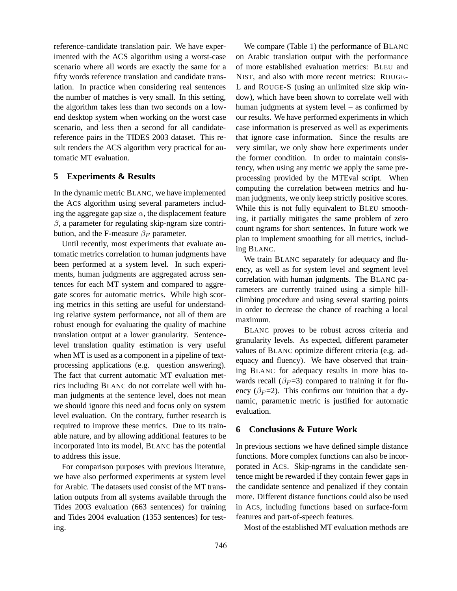reference-candidate translation pair. We have experimented with the ACS algorithm using a worst-case scenario where all words are exactly the same for a fifty words reference translation and candidate translation. In practice when considering real sentences the number of matches is very small. In this setting, the algorithm takes less than two seconds on a lowend desktop system when working on the worst case scenario, and less then a second for all candidatereference pairs in the TIDES 2003 dataset. This result renders the ACS algorithm very practical for automatic MT evaluation.

# **5 Experiments & Results**

In the dynamic metric BLANC, we have implemented the ACS algorithm using several parameters including the aggregate gap size  $\alpha$ , the displacement feature  $\beta$ , a parameter for regulating skip-ngram size contribution, and the F-measure  $\beta_F$  parameter.

Until recently, most experiments that evaluate automatic metrics correlation to human judgments have been performed at a system level. In such experiments, human judgments are aggregated across sentences for each MT system and compared to aggregate scores for automatic metrics. While high scoring metrics in this setting are useful for understanding relative system performance, not all of them are robust enough for evaluating the quality of machine translation output at a lower granularity. Sentencelevel translation quality estimation is very useful when MT is used as a component in a pipeline of textprocessing applications (e.g. question answering). The fact that current automatic MT evaluation metrics including BLANC do not correlate well with human judgments at the sentence level, does not mean we should ignore this need and focus only on system level evaluation. On the contrary, further research is required to improve these metrics. Due to its trainable nature, and by allowing additional features to be incorporated into its model, BLANC has the potential to address this issue.

For comparison purposes with previous literature, we have also performed experiments at system level for Arabic. The datasets used consist of the MT translation outputs from all systems available through the Tides 2003 evaluation (663 sentences) for training and Tides 2004 evaluation (1353 sentences) for testing.

We compare (Table 1) the performance of BLANC on Arabic translation output with the performance of more established evaluation metrics: BLEU and NIST, and also with more recent metrics: ROUGE-L and ROUGE-S (using an unlimited size skip window), which have been shown to correlate well with human judgments at system level – as confirmed by our results. We have performed experiments in which case information is preserved as well as experiments that ignore case information. Since the results are very similar, we only show here experiments under the former condition. In order to maintain consistency, when using any metric we apply the same preprocessing provided by the MTEval script. When computing the correlation between metrics and human judgments, we only keep strictly positive scores. While this is not fully equivalent to BLEU smoothing, it partially mitigates the same problem of zero count ngrams for short sentences. In future work we plan to implement smoothing for all metrics, including BLANC.

We train BLANC separately for adequacy and fluency, as well as for system level and segment level correlation with human judgments. The BLANC parameters are currently trained using a simple hillclimbing procedure and using several starting points in order to decrease the chance of reaching a local maximum.

BLANC proves to be robust across criteria and granularity levels. As expected, different parameter values of BLANC optimize different criteria (e.g. adequacy and fluency). We have observed that training BLANC for adequacy results in more bias towards recall ( $\beta_F$ =3) compared to training it for fluency ( $\beta_F$ =2). This confirms our intuition that a dynamic, parametric metric is justified for automatic evaluation.

## **6 Conclusions & Future Work**

In previous sections we have defined simple distance functions. More complex functions can also be incorporated in ACS. Skip-ngrams in the candidate sentence might be rewarded if they contain fewer gaps in the candidate sentence and penalized if they contain more. Different distance functions could also be used in ACS, including functions based on surface-form features and part-of-speech features.

Most of the established MT evaluation methods are